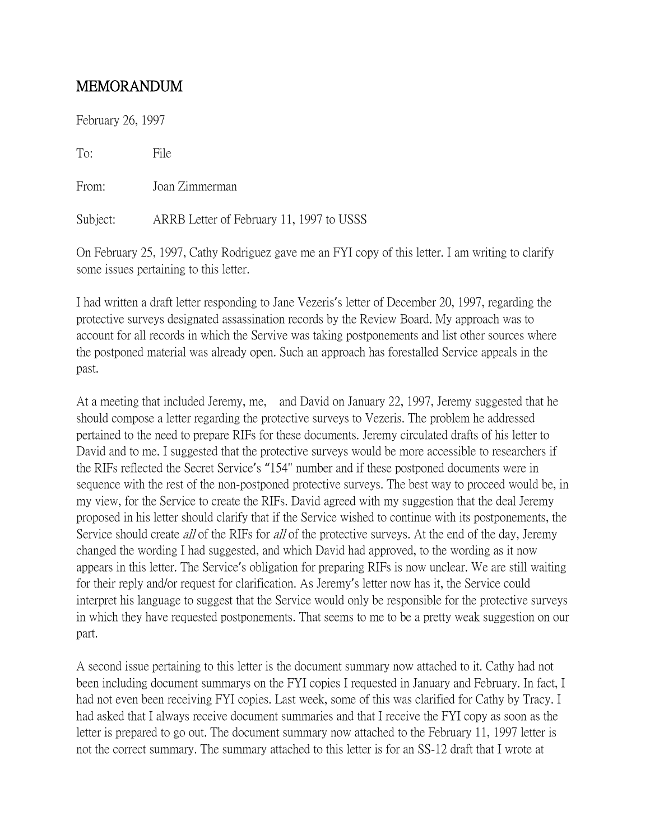## MEMORANDUM

February 26, 1997

To: File

From: Joan Zimmerman

Subject: ARRB Letter of February 11, 1997 to USSS

On February 25, 1997, Cathy Rodriguez gave me an FYI copy of this letter. I am writing to clarify some issues pertaining to this letter.

I had written a draft letter responding to Jane Vezeris's letter of December 20, 1997, regarding the protective surveys designated assassination records by the Review Board. My approach was to account for all records in which the Servive was taking postponements and list other sources where the postponed material was already open. Such an approach has forestalled Service appeals in the past.

At a meeting that included Jeremy, me, and David on January 22, 1997, Jeremy suggested that he should compose a letter regarding the protective surveys to Vezeris. The problem he addressed pertained to the need to prepare RIFs for these documents. Jeremy circulated drafts of his letter to David and to me. I suggested that the protective surveys would be more accessible to researchers if the RIFs reflected the Secret Service's "154" number and if these postponed documents were in sequence with the rest of the non-postponed protective surveys. The best way to proceed would be, in my view, for the Service to create the RIFs. David agreed with my suggestion that the deal Jeremy proposed in his letter should clarify that if the Service wished to continue with its postponements, the Service should create *all* of the RIFs for *all* of the protective surveys. At the end of the day, Jeremy changed the wording I had suggested, and which David had approved, to the wording as it now appears in this letter. The Service's obligation for preparing RIFs is now unclear. We are still waiting for their reply and/or request for clarification. As Jeremy's letter now has it, the Service could interpret his language to suggest that the Service would only be responsible for the protective surveys in which they have requested postponements. That seems to me to be a pretty weak suggestion on our part.

A second issue pertaining to this letter is the document summary now attached to it. Cathy had not been including document summarys on the FYI copies I requested in January and February. In fact, I had not even been receiving FYI copies. Last week, some of this was clarified for Cathy by Tracy. I had asked that I always receive document summaries and that I receive the FYI copy as soon as the letter is prepared to go out. The document summary now attached to the February 11, 1997 letter is not the correct summary. The summary attached to this letter is for an SS-12 draft that I wrote at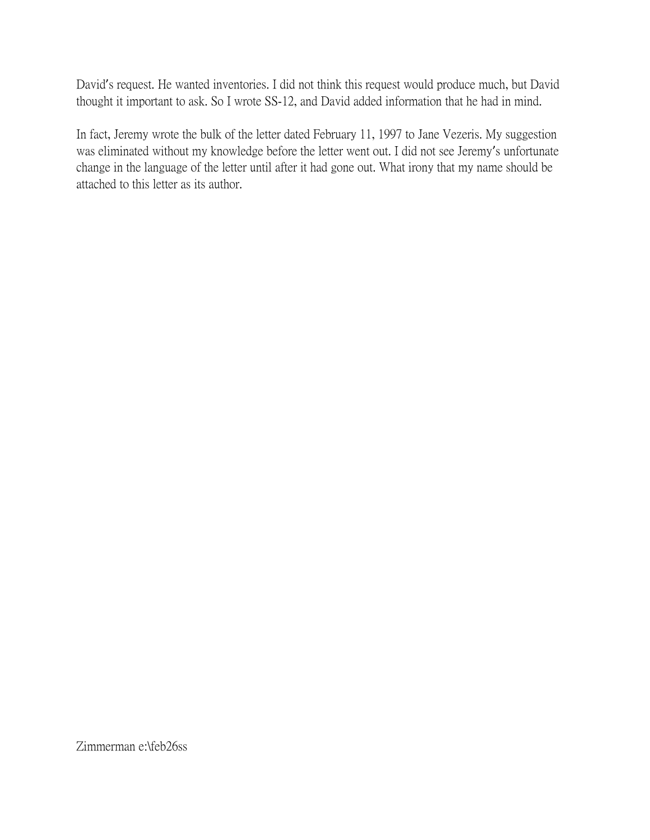David's request. He wanted inventories. I did not think this request would produce much, but David thought it important to ask. So I wrote SS-12, and David added information that he had in mind.

In fact, Jeremy wrote the bulk of the letter dated February 11, 1997 to Jane Vezeris. My suggestion was eliminated without my knowledge before the letter went out. I did not see Jeremy's unfortunate change in the language of the letter until after it had gone out. What irony that my name should be attached to this letter as its author.

Zimmerman e:\feb26ss